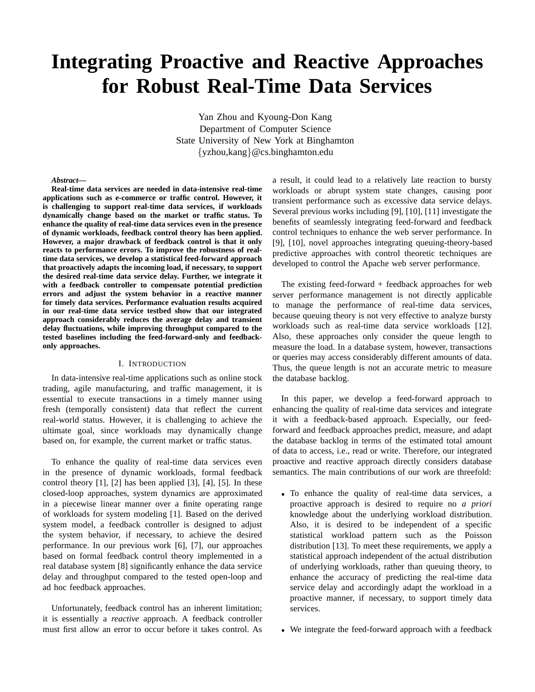# **Integrating Proactive and Reactive Approaches for Robust Real-Time Data Services**

Yan Zhou and Kyoung-Don Kang Department of Computer Science State University of New York at Binghamton {yzhou,kang}@cs.binghamton.edu

#### *Abstract***—**

**Real-time data services are needed in data-intensive real-time applications such as e-commerce or traffic control. However, it is challenging to support real-time data services, if workloads dynamically change based on the market or traffic status. To enhance the quality of real-time data services even in the presence of dynamic workloads, feedback control theory has been applied. However, a major drawback of feedback control is that it only reacts to performance errors. To improve the robustness of realtime data services, we develop a statistical feed-forward approach that proactively adapts the incoming load, if necessary, to support the desired real-time data service delay. Further, we integrate it with a feedback controller to compensate potential prediction errors and adjust the system behavior in a reactive manner for timely data services. Performance evaluation results acquired in our real-time data service testbed show that our integrated approach considerably reduces the average delay and transient delay fluctuations, while improving throughput compared to the tested baselines including the feed-forward-only and feedbackonly approaches.**

#### I. INTRODUCTION

In data-intensive real-time applications such as online stock trading, agile manufacturing, and traffic management, it is essential to execute transactions in a timely manner using fresh (temporally consistent) data that reflect the current real-world status. However, it is challenging to achieve the ultimate goal, since workloads may dynamically change based on, for example, the current market or traffic status.

To enhance the quality of real-time data services even in the presence of dynamic workloads, formal feedback control theory [1], [2] has been applied [3], [4], [5]. In these closed-loop approaches, system dynamics are approximated in a piecewise linear manner over a finite operating range of workloads for system modeling [1]. Based on the derived system model, a feedback controller is designed to adjust the system behavior, if necessary, to achieve the desired performance. In our previous work [6], [7], our approaches based on formal feedback control theory implemented in a real database system [8] significantly enhance the data service delay and throughput compared to the tested open-loop and ad hoc feedback approaches.

Unfortunately, feedback control has an inherent limitation; it is essentially a *reactive* approach. A feedback controller must first allow an error to occur before it takes control. As

a result, it could lead to a relatively late reaction to bursty workloads or abrupt system state changes, causing poor transient performance such as excessive data service delays. Several previous works including [9], [10], [11] investigate the benefits of seamlessly integrating feed-forward and feedback control techniques to enhance the web server performance. In [9], [10], novel approaches integrating queuing-theory-based predictive approaches with control theoretic techniques are developed to control the Apache web server performance.

The existing feed-forward + feedback approaches for web server performance management is not directly applicable to manage the performance of real-time data services, because queuing theory is not very effective to analyze bursty workloads such as real-time data service workloads [12]. Also, these approaches only consider the queue length to measure the load. In a database system, however, transactions or queries may access considerably different amounts of data. Thus, the queue length is not an accurate metric to measure the database backlog.

In this paper, we develop a feed-forward approach to enhancing the quality of real-time data services and integrate it with a feedback-based approach. Especially, our feedforward and feedback approaches predict, measure, and adapt the database backlog in terms of the estimated total amount of data to access, i.e., read or write. Therefore, our integrated proactive and reactive approach directly considers database semantics. The main contributions of our work are threefold:

- To enhance the quality of real-time data services, a proactive approach is desired to require no *a priori* knowledge about the underlying workload distribution. Also, it is desired to be independent of a specific statistical workload pattern such as the Poisson distribution [13]. To meet these requirements, we apply a statistical approach independent of the actual distribution of underlying workloads, rather than queuing theory, to enhance the accuracy of predicting the real-time data service delay and accordingly adapt the workload in a proactive manner, if necessary, to support timely data services.
- We integrate the feed-forward approach with a feedback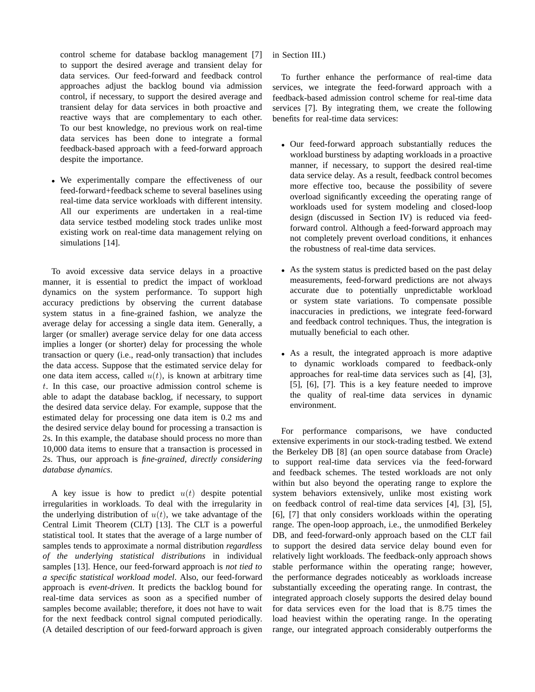control scheme for database backlog management [7] to support the desired average and transient delay for data services. Our feed-forward and feedback control approaches adjust the backlog bound via admission control, if necessary, to support the desired average and transient delay for data services in both proactive and reactive ways that are complementary to each other. To our best knowledge, no previous work on real-time data services has been done to integrate a formal feedback-based approach with a feed-forward approach despite the importance.

• We experimentally compare the effectiveness of our feed-forward+feedback scheme to several baselines using real-time data service workloads with different intensity. All our experiments are undertaken in a real-time data service testbed modeling stock trades unlike most existing work on real-time data management relying on simulations [14].

To avoid excessive data service delays in a proactive manner, it is essential to predict the impact of workload dynamics on the system performance. To support high accuracy predictions by observing the current database system status in a fine-grained fashion, we analyze the average delay for accessing a single data item. Generally, a larger (or smaller) average service delay for one data access implies a longer (or shorter) delay for processing the whole transaction or query (i.e., read-only transaction) that includes the data access. Suppose that the estimated service delay for one data item access, called  $u(t)$ , is known at arbitrary time t. In this case, our proactive admission control scheme is able to adapt the database backlog, if necessary, to support the desired data service delay. For example, suppose that the estimated delay for processing one data item is 0.2 ms and the desired service delay bound for processing a transaction is 2s. In this example, the database should process no more than 10,000 data items to ensure that a transaction is processed in 2s. Thus, our approach is *fine-grained, directly considering database dynamics*.

A key issue is how to predict  $u(t)$  despite potential irregularities in workloads. To deal with the irregularity in the underlying distribution of  $u(t)$ , we take advantage of the Central Limit Theorem (CLT) [13]. The CLT is a powerful statistical tool. It states that the average of a large number of samples tends to approximate a normal distribution *regardless of the underlying statistical distributions* in individual samples [13]. Hence, our feed-forward approach is *not tied to a specific statistical workload model*. Also, our feed-forward approach is *event-driven*. It predicts the backlog bound for real-time data services as soon as a specified number of samples become available; therefore, it does not have to wait for the next feedback control signal computed periodically. (A detailed description of our feed-forward approach is given

in Section III.)

To further enhance the performance of real-time data services, we integrate the feed-forward approach with a feedback-based admission control scheme for real-time data services [7]. By integrating them, we create the following benefits for real-time data services:

- Our feed-forward approach substantially reduces the workload burstiness by adapting workloads in a proactive manner, if necessary, to support the desired real-time data service delay. As a result, feedback control becomes more effective too, because the possibility of severe overload significantly exceeding the operating range of workloads used for system modeling and closed-loop design (discussed in Section IV) is reduced via feedforward control. Although a feed-forward approach may not completely prevent overload conditions, it enhances the robustness of real-time data services.
- As the system status is predicted based on the past delay measurements, feed-forward predictions are not always accurate due to potentially unpredictable workload or system state variations. To compensate possible inaccuracies in predictions, we integrate feed-forward and feedback control techniques. Thus, the integration is mutually beneficial to each other.
- As a result, the integrated approach is more adaptive to dynamic workloads compared to feedback-only approaches for real-time data services such as [4], [3], [5], [6], [7]. This is a key feature needed to improve the quality of real-time data services in dynamic environment.

For performance comparisons, we have conducted extensive experiments in our stock-trading testbed. We extend the Berkeley DB [8] (an open source database from Oracle) to support real-time data services via the feed-forward and feedback schemes. The tested workloads are not only within but also beyond the operating range to explore the system behaviors extensively, unlike most existing work on feedback control of real-time data services [4], [3], [5], [6], [7] that only considers workloads within the operating range. The open-loop approach, i.e., the unmodified Berkeley DB, and feed-forward-only approach based on the CLT fail to support the desired data service delay bound even for relatively light workloads. The feedback-only approach shows stable performance within the operating range; however, the performance degrades noticeably as workloads increase substantially exceeding the operating range. In contrast, the integrated approach closely supports the desired delay bound for data services even for the load that is 8.75 times the load heaviest within the operating range. In the operating range, our integrated approach considerably outperforms the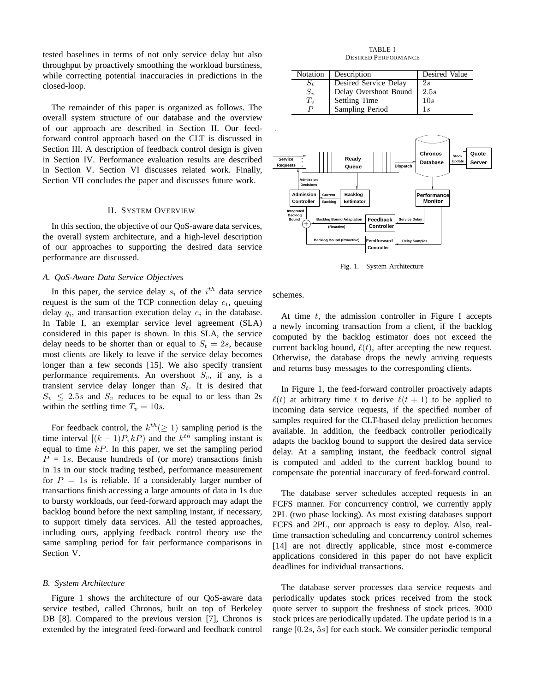tested baselines in terms of not only service delay but also throughput by proactively smoothing the workload burstiness, while correcting potential inaccuracies in predictions in the closed-loop.

The remainder of this paper is organized as follows. The overall system structure of our database and the overview of our approach are described in Section II. Our feedforward control approach based on the CLT is discussed in Section III. A description of feedback control design is given in Section IV. Performance evaluation results are described in Section V. Section VI discusses related work. Finally, Section VII concludes the paper and discusses future work.

# II. SYSTEM OVERVIEW

In this section, the objective of our QoS-aware data services, the overall system architecture, and a high-level description of our approaches to supporting the desired data service performance are discussed.

# *A. QoS-Aware Data Service Objectives*

In this paper, the service delay  $s_i$  of the  $i^{th}$  data service request is the sum of the TCP connection delay  $c_i$ , queuing delay  $q_i$ , and transaction execution delay  $e_i$  in the database. In Table I, an exemplar service level agreement (SLA) considered in this paper is shown. In this SLA, the service delay needs to be shorter than or equal to  $S_t = 2s$ , because most clients are likely to leave if the service delay becomes longer than a few seconds [15]. We also specify transient performance requirements. An overshoot  $S_v$ , if any, is a transient service delay longer than  $S_t$ . It is desired that  $S_v \leq 2.5s$  and  $S_v$  reduces to be equal to or less than 2s within the settling time  $T_v = 10s$ .

For feedback control, the  $k^{th}$ ( $\geq 1$ ) sampling period is the time interval  $[(k-1)P, kP)$  and the  $k^{th}$  sampling instant is equal to time  $kP$ . In this paper, we set the sampling period  $P = 1s$ . Because hundreds of (or more) transactions finish in 1s in our stock trading testbed, performance measurement for  $P = 1s$  is reliable. If a considerably larger number of transactions finish accessing a large amounts of data in 1s due to bursty workloads, our feed-forward approach may adapt the backlog bound before the next sampling instant, if necessary, to support timely data services. All the tested approaches, including ours, applying feedback control theory use the same sampling period for fair performance comparisons in Section V.

#### *B. System Architecture*

Figure 1 shows the architecture of our QoS-aware data service testbed, called Chronos, built on top of Berkeley DB [8]. Compared to the previous version [7], Chronos is extended by the integrated feed-forward and feedback control

TABLE I DESIRED PERFORMANCE





Fig. 1. System Architecture

schemes.

At time  $t$ , the admission controller in Figure I accepts a newly incoming transaction from a client, if the backlog computed by the backlog estimator does not exceed the current backlog bound,  $\ell(t)$ , after accepting the new request. Otherwise, the database drops the newly arriving requests and returns busy messages to the corresponding clients.

In Figure 1, the feed-forward controller proactively adapts  $\ell(t)$  at arbitrary time t to derive  $\ell(t+1)$  to be applied to incoming data service requests, if the specified number of samples required for the CLT-based delay prediction becomes available. In addition, the feedback controller periodically adapts the backlog bound to support the desired data service delay. At a sampling instant, the feedback control signal is computed and added to the current backlog bound to compensate the potential inaccuracy of feed-forward control.

The database server schedules accepted requests in an FCFS manner. For concurrency control, we currently apply 2PL (two phase locking). As most existing databases support FCFS and 2PL, our approach is easy to deploy. Also, realtime transaction scheduling and concurrency control schemes [14] are not directly applicable, since most e-commerce applications considered in this paper do not have explicit deadlines for individual transactions.

The database server processes data service requests and periodically updates stock prices received from the stock quote server to support the freshness of stock prices. 3000 stock prices are periodically updated. The update period is in a range [0.2s, 5s] for each stock. We consider periodic temporal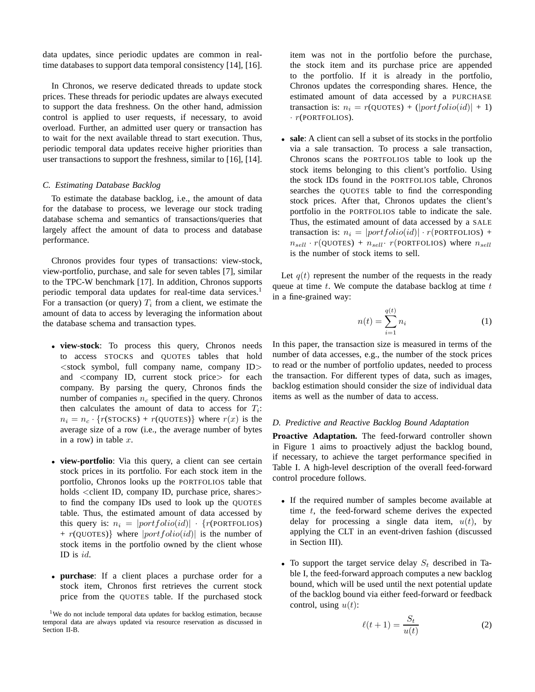data updates, since periodic updates are common in realtime databases to support data temporal consistency [14], [16].

In Chronos, we reserve dedicated threads to update stock prices. These threads for periodic updates are always executed to support the data freshness. On the other hand, admission control is applied to user requests, if necessary, to avoid overload. Further, an admitted user query or transaction has to wait for the next available thread to start execution. Thus, periodic temporal data updates receive higher priorities than user transactions to support the freshness, similar to [16], [14].

#### *C. Estimating Database Backlog*

To estimate the database backlog, i.e., the amount of data for the database to process, we leverage our stock trading database schema and semantics of transactions/queries that largely affect the amount of data to process and database performance.

Chronos provides four types of transactions: view-stock, view-portfolio, purchase, and sale for seven tables [7], similar to the TPC-W benchmark [17]. In addition, Chronos supports periodic temporal data updates for real-time data services.<sup>1</sup> For a transaction (or query)  $T_i$  from a client, we estimate the amount of data to access by leveraging the information about the database schema and transaction types.

- **view-stock**: To process this query, Chronos needs to access STOCKS and QUOTES tables that hold  $\lt$ stock symbol, full company name, company ID $>$ and <company ID, current stock price> for each company. By parsing the query, Chronos finds the number of companies  $n_c$  specified in the query. Chronos then calculates the amount of data to access for  $T_i$ :  $n_i = n_c \cdot \{r(\text{STOCKS}) + r(\text{QUOTES})\}$  where  $r(x)$  is the average size of a row (i.e., the average number of bytes in a row) in table  $x$ .
- **view-portfolio**: Via this query, a client can see certain stock prices in its portfolio. For each stock item in the portfolio, Chronos looks up the PORTFOLIOS table that holds <client ID, company ID, purchase price, shares> to find the company IDs used to look up the QUOTES table. Thus, the estimated amount of data accessed by this query is:  $n_i = |portfolio(id)| \cdot \{r(PORTFOLIOS)$  $+ r(QUOTES)$ } where  $|portfolio(id)|$  is the number of stock items in the portfolio owned by the client whose ID is id.
- **purchase**: If a client places a purchase order for a stock item, Chronos first retrieves the current stock price from the QUOTES table. If the purchased stock

<sup>1</sup>We do not include temporal data updates for backlog estimation, because temporal data are always updated via resource reservation as discussed in Section II-B.

item was not in the portfolio before the purchase, the stock item and its purchase price are appended to the portfolio. If it is already in the portfolio, Chronos updates the corresponding shares. Hence, the estimated amount of data accessed by a PURCHASE transaction is:  $n_i = r(\text{QUOTES}) + (|portfolio(id)| + 1)$  $\cdot$   $r$ (PORTFOLIOS).

• **sale**: A client can sell a subset of its stocks in the portfolio via a sale transaction. To process a sale transaction, Chronos scans the PORTFOLIOS table to look up the stock items belonging to this client's portfolio. Using the stock IDs found in the PORTFOLIOS table, Chronos searches the QUOTES table to find the corresponding stock prices. After that, Chronos updates the client's portfolio in the PORTFOLIOS table to indicate the sale. Thus, the estimated amount of data accessed by a SALE transaction is:  $n_i = |portfolio(id)| \cdot r(PORTFOLIOS) +$  $n_{sell} \cdot r(\text{QUOTES}) + n_{sell} \cdot r(\text{PORTFOLIOS})$  where  $n_{sell}$ is the number of stock items to sell.

Let  $q(t)$  represent the number of the requests in the ready queue at time  $t$ . We compute the database backlog at time  $t$ in a fine-grained way:

$$
n(t) = \sum_{i=1}^{q(t)} n_i
$$
\n<sup>(1)</sup>

In this paper, the transaction size is measured in terms of the number of data accesses, e.g., the number of the stock prices to read or the number of portfolio updates, needed to process the transaction. For different types of data, such as images, backlog estimation should consider the size of individual data items as well as the number of data to access.

# *D. Predictive and Reactive Backlog Bound Adaptation*

**Proactive Adaptation.** The feed-forward controller shown in Figure 1 aims to proactively adjust the backlog bound, if necessary, to achieve the target performance specified in Table I. A high-level description of the overall feed-forward control procedure follows.

- If the required number of samples become available at time  $t$ , the feed-forward scheme derives the expected delay for processing a single data item,  $u(t)$ , by applying the CLT in an event-driven fashion (discussed in Section III).
- To support the target service delay  $S_t$  described in Table I, the feed-forward approach computes a new backlog bound, which will be used until the next potential update of the backlog bound via either feed-forward or feedback control, using  $u(t)$ :

$$
\ell(t+1) = \frac{S_t}{u(t)}\tag{2}
$$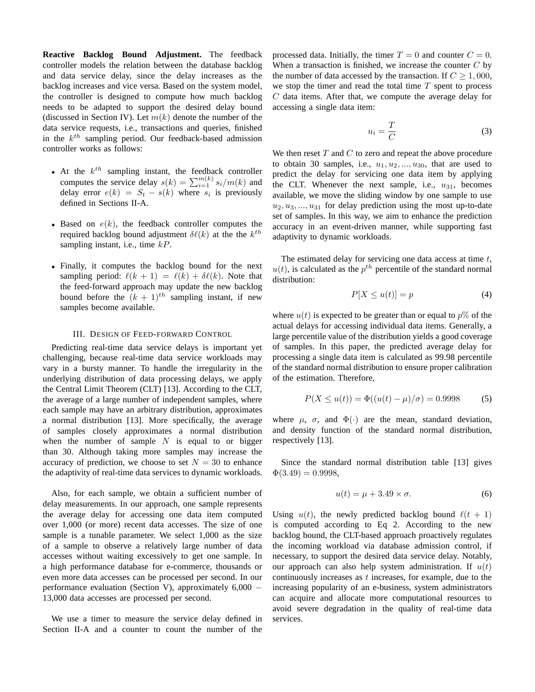**Reactive Backlog Bound Adjustment.** The feedback controller models the relation between the database backlog and data service delay, since the delay increases as the backlog increases and vice versa. Based on the system model, the controller is designed to compute how much backlog needs to be adapted to support the desired delay bound (discussed in Section IV). Let  $m(k)$  denote the number of the data service requests, i.e., transactions and queries, finished in the  $k^{th}$  sampling period. Our feedback-based admission controller works as follows:

- At the  $k^{th}$  sampling instant, the feedback controller computes the service delay  $s(k) = \sum_{i=1}^{m(k)} s_i/m(k)$  and delay error  $e(k) = S_t - s(k)$  where  $s_i$  is previously defined in Sections II-A.
- Based on  $e(k)$ , the feedback controller computes the required backlog bound adjustment  $\delta \ell(k)$  at the the  $k^{th}$ sampling instant, i.e., time  $kP$ .
- Finally, it computes the backlog bound for the next sampling period:  $\ell(k+1) = \ell(k) + \delta\ell(k)$ . Note that the feed-forward approach may update the new backlog bound before the  $(k + 1)^{th}$  sampling instant, if new samples become available.

#### III. DESIGN OF FEED-FORWARD CONTROL

Predicting real-time data service delays is important yet challenging, because real-time data service workloads may vary in a bursty manner. To handle the irregularity in the underlying distribution of data processing delays, we apply the Central Limit Theorem (CLT) [13]. According to the CLT, the average of a large number of independent samples, where each sample may have an arbitrary distribution, approximates a normal distribution [13]. More specifically, the average of samples closely approximates a normal distribution when the number of sample  $N$  is equal to or bigger than 30. Although taking more samples may increase the accuracy of prediction, we choose to set  $N = 30$  to enhance the adaptivity of real-time data services to dynamic workloads.

Also, for each sample, we obtain a sufficient number of delay measurements. In our approach, one sample represents the average delay for accessing one data item computed over 1,000 (or more) recent data accesses. The size of one sample is a tunable parameter. We select 1,000 as the size of a sample to observe a relatively large number of data accesses without waiting excessively to get one sample. In a high performance database for e-commerce, thousands or even more data accesses can be processed per second. In our performance evaluation (Section V), approximately  $6,000 -$ 13,000 data accesses are processed per second.

We use a timer to measure the service delay defined in Section II-A and a counter to count the number of the processed data. Initially, the timer  $T = 0$  and counter  $C = 0$ . When a transaction is finished, we increase the counter  $C$  by the number of data accessed by the transaction. If  $C \ge 1,000$ , we stop the timer and read the total time  $T$  spent to process  $C$  data items. After that, we compute the average delay for accessing a single data item:

$$
u_i = \frac{T}{C} \tag{3}
$$

We then reset  $T$  and  $C$  to zero and repeat the above procedure to obtain 30 samples, i.e.,  $u_1, u_2, \ldots, u_{30}$ , that are used to predict the delay for servicing one data item by applying the CLT. Whenever the next sample, i.e.,  $u_{31}$ , becomes available, we move the sliding window by one sample to use  $u_2, u_3, \ldots, u_{31}$  for delay prediction using the most up-to-date set of samples. In this way, we aim to enhance the prediction accuracy in an event-driven manner, while supporting fast adaptivity to dynamic workloads.

The estimated delay for servicing one data access at time  $t$ ,  $u(t)$ , is calculated as the  $p^{th}$  percentile of the standard normal distribution:

$$
P[X \le u(t)] = p \tag{4}
$$

where  $u(t)$  is expected to be greater than or equal to  $p\%$  of the actual delays for accessing individual data items. Generally, a large percentile value of the distribution yields a good coverage of samples. In this paper, the predicted average delay for processing a single data item is calculated as 99.98 percentile of the standard normal distribution to ensure proper calibration of the estimation. Therefore,

$$
P(X \le u(t)) = \Phi((u(t) - \mu)/\sigma) = 0.9998
$$
 (5)

where  $\mu$ ,  $\sigma$ , and  $\Phi(\cdot)$  are the mean, standard deviation, and density function of the standard normal distribution, respectively [13].

Since the standard normal distribution table [13] gives  $\Phi(3.49) = 0.9998$ 

$$
u(t) = \mu + 3.49 \times \sigma. \tag{6}
$$

Using  $u(t)$ , the newly predicted backlog bound  $\ell(t + 1)$ is computed according to Eq 2. According to the new backlog bound, the CLT-based approach proactively regulates the incoming workload via database admission control, if necessary, to support the desired data service delay. Notably, our approach can also help system administration. If  $u(t)$ continuously increases as  $t$  increases, for example, due to the increasing popularity of an e-business, system administrators can acquire and allocate more computational resources to avoid severe degradation in the quality of real-time data services.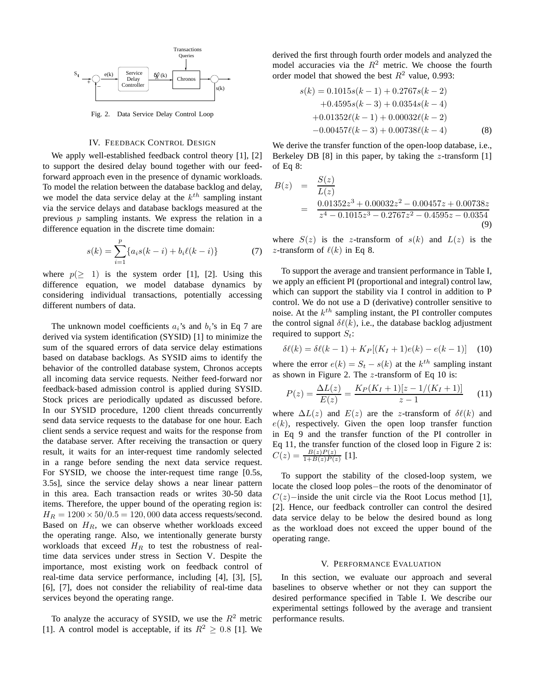

Fig. 2. Data Service Delay Control Loop

# IV. FEEDBACK CONTROL DESIGN

We apply well-established feedback control theory [1], [2] to support the desired delay bound together with our feedforward approach even in the presence of dynamic workloads. To model the relation between the database backlog and delay, we model the data service delay at the  $k^{th}$  sampling instant via the service delays and database backlogs measured at the previous  $p$  sampling instants. We express the relation in a difference equation in the discrete time domain:

$$
s(k) = \sum_{i=1}^{p} \{a_i s(k-i) + b_i \ell(k-i)\}\tag{7}
$$

where  $p(\geq 1)$  is the system order [1], [2]. Using this difference equation, we model database dynamics by considering individual transactions, potentially accessing different numbers of data.

The unknown model coefficients  $a_i$ 's and  $b_i$ 's in Eq 7 are derived via system identification (SYSID) [1] to minimize the sum of the squared errors of data service delay estimations based on database backlogs. As SYSID aims to identify the behavior of the controlled database system, Chronos accepts all incoming data service requests. Neither feed-forward nor feedback-based admission control is applied during SYSID. Stock prices are periodically updated as discussed before. In our SYSID procedure, 1200 client threads concurrently send data service requests to the database for one hour. Each client sends a service request and waits for the response from the database server. After receiving the transaction or query result, it waits for an inter-request time randomly selected in a range before sending the next data service request. For SYSID, we choose the inter-request time range [0.5s, 3.5s], since the service delay shows a near linear pattern in this area. Each transaction reads or writes 30-50 data items. Therefore, the upper bound of the operating region is:  $H_R = 1200 \times 50/0.5 = 120,000$  data access requests/second. Based on  $H_R$ , we can observe whether workloads exceed the operating range. Also, we intentionally generate bursty workloads that exceed  $H_R$  to test the robustness of realtime data services under stress in Section V. Despite the importance, most existing work on feedback control of real-time data service performance, including [4], [3], [5], [6], [7], does not consider the reliability of real-time data services beyond the operating range.

To analyze the accuracy of SYSID, we use the  $R<sup>2</sup>$  metric [1]. A control model is acceptable, if its  $R^2 \geq 0.8$  [1]. We derived the first through fourth order models and analyzed the model accuracies via the  $R^2$  metric. We choose the fourth order model that showed the best  $R^2$  value, 0.993:

$$
s(k) = 0.1015s(k-1) + 0.2767s(k-2)
$$
  
+0.4595s(k-3) + 0.0354s(k-4)  
+0.01352\ell(k-1) + 0.00032\ell(k-2)  
-0.00457\ell(k-3) + 0.00738\ell(k-4) (8)

We derive the transfer function of the open-loop database, i.e., Berkeley DB  $[8]$  in this paper, by taking the *z*-transform  $[1]$ of Eq 8:

$$
B(z) = \frac{S(z)}{L(z)}
$$
  
= 
$$
\frac{0.01352z^3 + 0.00032z^2 - 0.00457z + 0.00738z}{z^4 - 0.1015z^3 - 0.2767z^2 - 0.4595z - 0.0354}
$$
  
(9)

where  $S(z)$  is the z-transform of  $s(k)$  and  $L(z)$  is the z-transform of  $\ell(k)$  in Eq 8.

To support the average and transient performance in Table I, we apply an efficient PI (proportional and integral) control law, which can support the stability via I control in addition to P control. We do not use a D (derivative) controller sensitive to noise. At the  $k^{th}$  sampling instant, the PI controller computes the control signal  $\delta\ell(k)$ , i.e., the database backlog adjustment required to support  $S_t$ :

$$
\delta\ell(k) = \delta\ell(k-1) + K_P[(K_I + 1)e(k) - e(k-1)] \tag{10}
$$

where the error  $e(k) = S_t - s(k)$  at the  $k^{th}$  sampling instant as shown in Figure 2. The  $z$ -transform of Eq 10 is:

$$
P(z) = \frac{\Delta L(z)}{E(z)} = \frac{K_P(K_I + 1)[z - 1/(K_I + 1)]}{z - 1}
$$
 (11)

where  $\Delta L(z)$  and  $E(z)$  are the z-transform of  $\delta \ell(k)$  and  $e(k)$ , respectively. Given the open loop transfer function in Eq 9 and the transfer function of the PI controller in Eq 11, the transfer function of the closed loop in Figure 2 is:  $C(z) = \frac{B(z)P(z)}{1+B(z)P(z)}$  [1].

To support the stability of the closed-loop system, we locate the closed loop poles−the roots of the denominator of  $C(z)$ −inside the unit circle via the Root Locus method [1], [2]. Hence, our feedback controller can control the desired data service delay to be below the desired bound as long as the workload does not exceed the upper bound of the operating range.

# V. PERFORMANCE EVALUATION

In this section, we evaluate our approach and several baselines to observe whether or not they can support the desired performance specified in Table I. We describe our experimental settings followed by the average and transient performance results.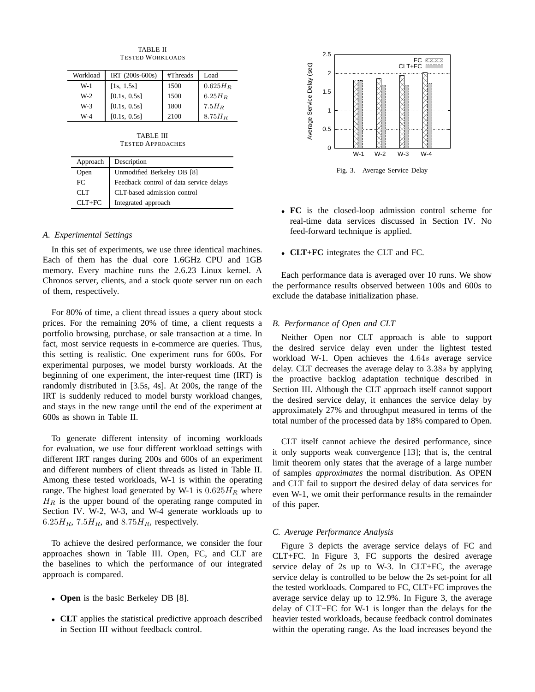TABLE II TESTED WORKLOADS

| Workload | $IRT (200s-600s)$ | #Threads | Load        |
|----------|-------------------|----------|-------------|
| W-1      | [1s, 1.5s]        | 1500     | $0.625H_B$  |
| $W-2$    | [0.1s, 0.5s]      | 1500     | $6.25H_R$   |
| $W-3$    | [0.1s, 0.5s]      | 1800     | $7.5H_B$    |
| W-4      | [0.1s, 0.5s]      | 2100     | $8.75H_{B}$ |

TABLE III TESTED APPROACHES

| Approach   | Description                             |  |
|------------|-----------------------------------------|--|
| Open       | Unmodified Berkeley DB [8]              |  |
| FC.        | Feedback control of data service delays |  |
| CLT.       | CLT-based admission control             |  |
| $CLT + FC$ | Integrated approach                     |  |

# *A. Experimental Settings*

In this set of experiments, we use three identical machines. Each of them has the dual core 1.6GHz CPU and 1GB memory. Every machine runs the 2.6.23 Linux kernel. A Chronos server, clients, and a stock quote server run on each of them, respectively.

For 80% of time, a client thread issues a query about stock prices. For the remaining 20% of time, a client requests a portfolio browsing, purchase, or sale transaction at a time. In fact, most service requests in e-commerce are queries. Thus, this setting is realistic. One experiment runs for 600s. For experimental purposes, we model bursty workloads. At the beginning of one experiment, the inter-request time (IRT) is randomly distributed in [3.5s, 4s]. At 200s, the range of the IRT is suddenly reduced to model bursty workload changes, and stays in the new range until the end of the experiment at 600s as shown in Table II.

To generate different intensity of incoming workloads for evaluation, we use four different workload settings with different IRT ranges during 200s and 600s of an experiment and different numbers of client threads as listed in Table II. Among these tested workloads, W-1 is within the operating range. The highest load generated by W-1 is  $0.625H_R$  where  $H_R$  is the upper bound of the operating range computed in Section IV. W-2, W-3, and W-4 generate workloads up to 6.25 $H_R$ , 7.5 $H_R$ , and 8.75 $H_R$ , respectively.

To achieve the desired performance, we consider the four approaches shown in Table III. Open, FC, and CLT are the baselines to which the performance of our integrated approach is compared.

- **Open** is the basic Berkeley DB [8].
- **CLT** applies the statistical predictive approach described in Section III without feedback control.





- **FC** is the closed-loop admission control scheme for real-time data services discussed in Section IV. No feed-forward technique is applied.
- **CLT+FC** integrates the CLT and FC.

Each performance data is averaged over 10 runs. We show the performance results observed between 100s and 600s to exclude the database initialization phase.

## *B. Performance of Open and CLT*

Neither Open nor CLT approach is able to support the desired service delay even under the lightest tested workload W-1. Open achieves the 4.64s average service delay. CLT decreases the average delay to 3.38s by applying the proactive backlog adaptation technique described in Section III. Although the CLT approach itself cannot support the desired service delay, it enhances the service delay by approximately 27% and throughput measured in terms of the total number of the processed data by 18% compared to Open.

CLT itself cannot achieve the desired performance, since it only supports weak convergence [13]; that is, the central limit theorem only states that the average of a large number of samples *approximates* the normal distribution. As OPEN and CLT fail to support the desired delay of data services for even W-1, we omit their performance results in the remainder of this paper.

# *C. Average Performance Analysis*

Figure 3 depicts the average service delays of FC and CLT+FC. In Figure 3, FC supports the desired average service delay of 2s up to W-3. In CLT+FC, the average service delay is controlled to be below the 2s set-point for all the tested workloads. Compared to FC, CLT+FC improves the average service delay up to 12.9%. In Figure 3, the average delay of CLT+FC for W-1 is longer than the delays for the heavier tested workloads, because feedback control dominates within the operating range. As the load increases beyond the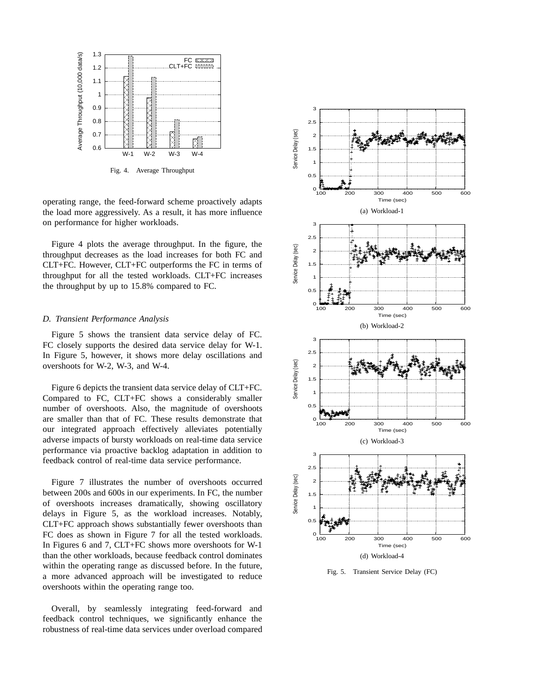

Fig. 4. Average Throughput

operating range, the feed-forward scheme proactively adapts the load more aggressively. As a result, it has more influence on performance for higher workloads.

Figure 4 plots the average throughput. In the figure, the throughput decreases as the load increases for both FC and CLT+FC. However, CLT+FC outperforms the FC in terms of throughput for all the tested workloads. CLT+FC increases the throughput by up to 15.8% compared to FC.

#### *D. Transient Performance Analysis*

Figure 5 shows the transient data service delay of FC. FC closely supports the desired data service delay for W-1. In Figure 5, however, it shows more delay oscillations and overshoots for W-2, W-3, and W-4.

Figure 6 depicts the transient data service delay of CLT+FC. Compared to FC, CLT+FC shows a considerably smaller number of overshoots. Also, the magnitude of overshoots are smaller than that of FC. These results demonstrate that our integrated approach effectively alleviates potentially adverse impacts of bursty workloads on real-time data service performance via proactive backlog adaptation in addition to feedback control of real-time data service performance.

Figure 7 illustrates the number of overshoots occurred between 200s and 600s in our experiments. In FC, the number of overshoots increases dramatically, showing oscillatory delays in Figure 5, as the workload increases. Notably, CLT+FC approach shows substantially fewer overshoots than FC does as shown in Figure 7 for all the tested workloads. In Figures 6 and 7, CLT+FC shows more overshoots for W-1 than the other workloads, because feedback control dominates within the operating range as discussed before. In the future, a more advanced approach will be investigated to reduce overshoots within the operating range too.

Overall, by seamlessly integrating feed-forward and feedback control techniques, we significantly enhance the robustness of real-time data services under overload compared



Fig. 5. Transient Service Delay (FC)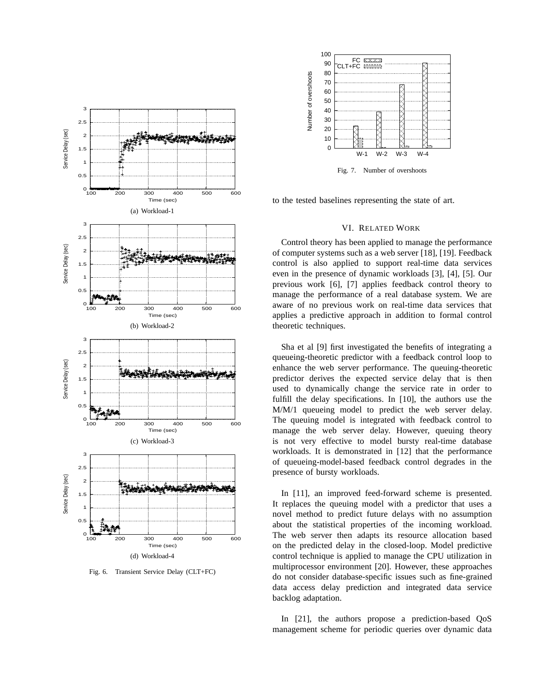

Fig. 6. Transient Service Delay (CLT+FC)



Fig. 7. Number of overshoots

to the tested baselines representing the state of art.

#### VI. RELATED WORK

Control theory has been applied to manage the performance of computer systems such as a web server [18], [19]. Feedback control is also applied to support real-time data services even in the presence of dynamic workloads [3], [4], [5]. Our previous work [6], [7] applies feedback control theory to manage the performance of a real database system. We are aware of no previous work on real-time data services that applies a predictive approach in addition to formal control theoretic techniques.

Sha et al [9] first investigated the benefits of integrating a queueing-theoretic predictor with a feedback control loop to enhance the web server performance. The queuing-theoretic predictor derives the expected service delay that is then used to dynamically change the service rate in order to fulfill the delay specifications. In [10], the authors use the M/M/1 queueing model to predict the web server delay. The queuing model is integrated with feedback control to manage the web server delay. However, queuing theory is not very effective to model bursty real-time database workloads. It is demonstrated in [12] that the performance of queueing-model-based feedback control degrades in the presence of bursty workloads.

In [11], an improved feed-forward scheme is presented. It replaces the queuing model with a predictor that uses a novel method to predict future delays with no assumption about the statistical properties of the incoming workload. The web server then adapts its resource allocation based on the predicted delay in the closed-loop. Model predictive control technique is applied to manage the CPU utilization in multiprocessor environment [20]. However, these approaches do not consider database-specific issues such as fine-grained data access delay prediction and integrated data service backlog adaptation.

In [21], the authors propose a prediction-based QoS management scheme for periodic queries over dynamic data